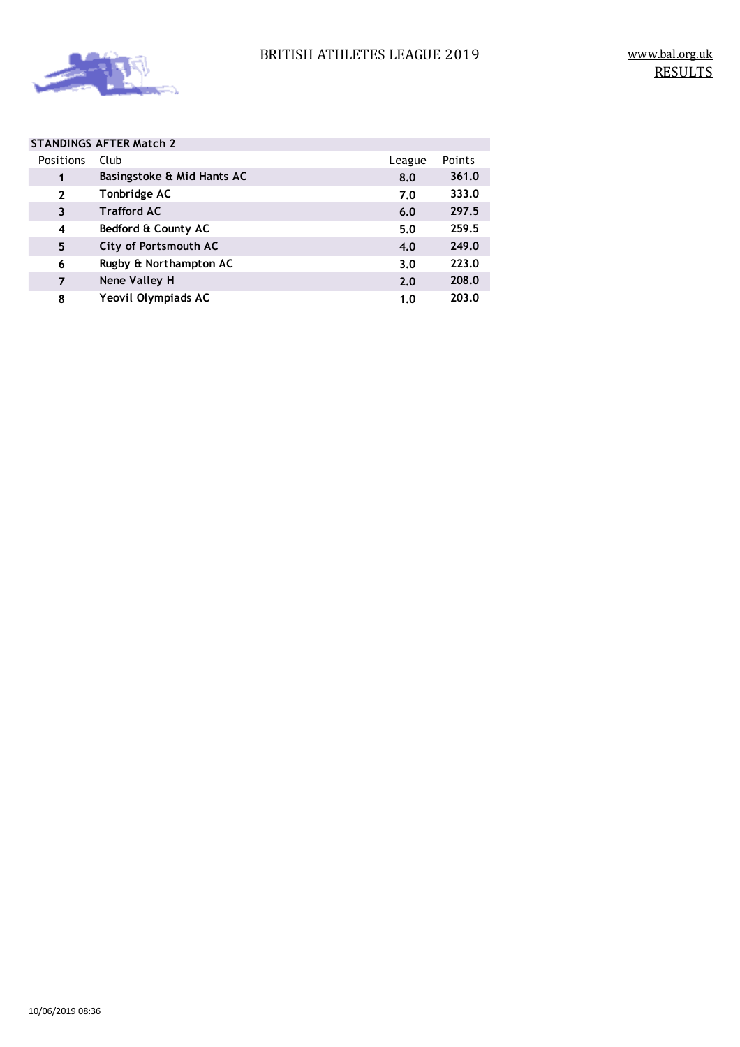

|  |                | <b>STANDINGS AFTER Match 2</b> |        |        |
|--|----------------|--------------------------------|--------|--------|
|  | Positions      | Club                           | League | Points |
|  | 1              | Basingstoke & Mid Hants AC     | 8.0    | 361.0  |
|  | $\overline{2}$ | Tonbridge AC                   | 7.0    | 333.0  |
|  | 3              | <b>Trafford AC</b>             | 6.0    | 297.5  |
|  | 4              | Bedford & County AC            | 5.0    | 259.5  |
|  | 5              | City of Portsmouth AC          | 4.0    | 249.0  |
|  | 6              | Rugby & Northampton AC         | 3.0    | 223.0  |
|  | $\overline{7}$ | Nene Valley H                  | 2.0    | 208.0  |
|  | 8              | Yeovil Olympiads AC            | 1.0    | 203.0  |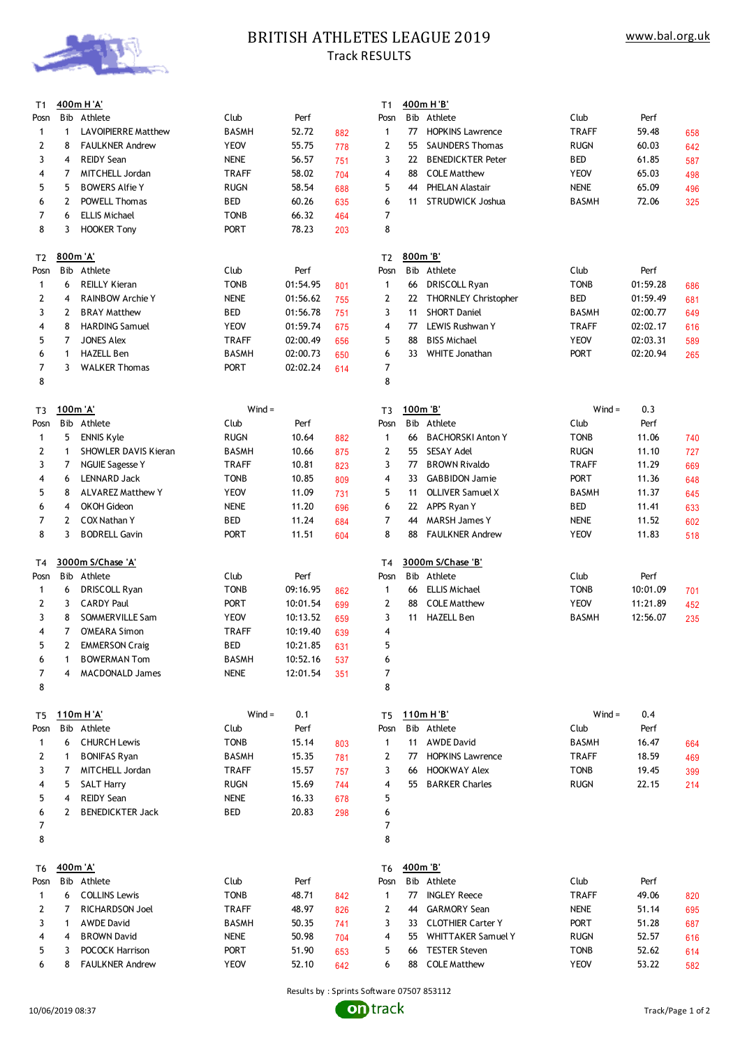

# **BRITISH ATHLETES LEAGUE 2019** Track RESULTS

| T1             |              | 400m H'A'                  |              |          |     | T1             |          | 400m H 'B'                |              |          |     |
|----------------|--------------|----------------------------|--------------|----------|-----|----------------|----------|---------------------------|--------------|----------|-----|
| Posn           |              | Bib Athlete                | Club         | Perf     |     | Posn           |          | Bib Athlete               | Club         | Perf     |     |
| 1              | 1            | <b>LAVOIPIERRE Matthew</b> | <b>BASMH</b> | 52.72    | 882 | 1              | 77       | <b>HOPKINS Lawrence</b>   | <b>TRAFF</b> | 59.48    | 658 |
| 2              | 8            | <b>FAULKNER Andrew</b>     | <b>YEOV</b>  | 55.75    | 778 | 2              | 55       | <b>SAUNDERS Thomas</b>    | <b>RUGN</b>  | 60.03    | 642 |
| 3              | 4            | <b>REIDY Sean</b>          | <b>NENE</b>  | 56.57    | 751 | 3              | 22       | <b>BENEDICKTER Peter</b>  | <b>BED</b>   | 61.85    | 587 |
| 4              | 7            | MITCHELL Jordan            | <b>TRAFF</b> | 58.02    | 704 | 4              | 88       | <b>COLE Matthew</b>       | <b>YEOV</b>  | 65.03    | 498 |
| 5              | 5            | <b>BOWERS Alfie Y</b>      | <b>RUGN</b>  | 58.54    | 688 | 5              | 44       | PHELAN Alastair           | <b>NENE</b>  | 65.09    | 496 |
| 6              | 2            | POWELL Thomas              | <b>BED</b>   | 60.26    |     | 6              | 11       | STRUDWICK Joshua          | <b>BASMH</b> | 72.06    |     |
| $\overline{7}$ |              |                            |              | 66.32    | 635 |                |          |                           |              |          | 325 |
|                | 6            | <b>ELLIS Michael</b>       | <b>TONB</b>  |          | 464 | 7              |          |                           |              |          |     |
| 8              | 3            | <b>HOOKER Tony</b>         | PORT         | 78.23    | 203 | 8              |          |                           |              |          |     |
|                |              |                            |              |          |     |                |          |                           |              |          |     |
| T <sub>2</sub> | 800m 'A'     |                            |              |          |     | T2             | 800m 'B' |                           |              |          |     |
| Posn           |              | Bib Athlete                | Club         | Perf     |     | Posn           |          | Bib Athlete               | Club         | Perf     |     |
| $\mathbf{1}$   | 6            | <b>REILLY Kieran</b>       | <b>TONB</b>  | 01:54.95 | 801 | $\mathbf{1}$   | 66       | DRISCOLL Ryan             | <b>TONB</b>  | 01:59.28 | 686 |
| 2              | 4            | <b>RAINBOW Archie Y</b>    | <b>NENE</b>  | 01:56.62 | 755 | 2              | 22       | THORNLEY Christopher      | <b>BED</b>   | 01:59.49 | 681 |
| 3              | 2            | <b>BRAY Matthew</b>        | <b>BED</b>   | 01:56.78 | 751 | 3              | 11       | <b>SHORT Daniel</b>       | <b>BASMH</b> | 02:00.77 | 649 |
| 4              | 8            | <b>HARDING Samuel</b>      | <b>YEOV</b>  | 01:59.74 | 675 | 4              | 77       | LEWIS Rushwan Y           | TRAFF        | 02:02.17 | 616 |
| 5              | 7            | <b>JONES Alex</b>          | <b>TRAFF</b> | 02:00.49 | 656 | 5              | 88       | <b>BISS Michael</b>       | <b>YEOV</b>  | 02:03.31 | 589 |
| 6              | $\mathbf{1}$ | <b>HAZELL Ben</b>          | <b>BASMH</b> | 02:00.73 | 650 | 6              | 33       | <b>WHITE Jonathan</b>     | PORT         | 02:20.94 | 265 |
| $\overline{7}$ | 3            | <b>WALKER Thomas</b>       | PORT         | 02:02.24 | 614 | 7              |          |                           |              |          |     |
| 8              |              |                            |              |          |     | 8              |          |                           |              |          |     |
|                |              |                            |              |          |     |                |          |                           |              |          |     |
| T3             | 100m 'A'     |                            | $Wind =$     |          |     | T3             | 100m 'B' |                           | $Wind =$     | 0.3      |     |
|                |              | Bib Athlete                | Club         | Perf     |     | Posn           |          | Bib Athlete               | Club         | Perf     |     |
| Posn           |              |                            |              |          |     |                |          |                           |              |          |     |
| 1              | 5            | <b>ENNIS Kyle</b>          | <b>RUGN</b>  | 10.64    | 882 | $\mathbf{1}$   | 66       | <b>BACHORSKI Anton Y</b>  | <b>TONB</b>  | 11.06    | 740 |
| 2              | 1            | SHOWLER DAVIS Kieran       | <b>BASMH</b> | 10.66    | 875 | 2              | 55       | <b>SESAY Adel</b>         | <b>RUGN</b>  | 11.10    | 727 |
| 3              | 7            | <b>NGUIE Sagesse Y</b>     | <b>TRAFF</b> | 10.81    | 823 | 3              | 77       | <b>BROWN Rivaldo</b>      | <b>TRAFF</b> | 11.29    | 669 |
| 4              | 6            | <b>LENNARD Jack</b>        | <b>TONB</b>  | 10.85    | 809 | 4              | 33       | <b>GABBIDON Jamie</b>     | <b>PORT</b>  | 11.36    | 648 |
| 5              | 8            | <b>ALVAREZ Matthew Y</b>   | <b>YEOV</b>  | 11.09    | 731 | 5              | 11       | <b>OLLIVER Samuel X</b>   | BASMH        | 11.37    | 645 |
| 6              | 4            | <b>OKOH Gideon</b>         | <b>NENE</b>  | 11.20    | 696 | 6              | 22       | APPS Ryan Y               | <b>BED</b>   | 11.41    | 633 |
| $\overline{7}$ | 2            | <b>COX Nathan Y</b>        | BED          | 11.24    | 684 | 7              | 44       | <b>MARSH James Y</b>      | <b>NENE</b>  | 11.52    | 602 |
| 8              | 3            | <b>BODRELL Gavin</b>       | <b>PORT</b>  | 11.51    | 604 | 8              | 88       | <b>FAULKNER Andrew</b>    | <b>YEOV</b>  | 11.83    | 518 |
|                |              |                            |              |          |     |                |          |                           |              |          |     |
| T <sub>4</sub> |              | 3000m S/Chase 'A'          |              |          |     | T <sub>4</sub> |          | 3000m S/Chase 'B'         |              |          |     |
| Posn           |              | Bib Athlete                | Club         | Perf     |     | Posn           |          | Bib Athlete               | Club         | Perf     |     |
| $\mathbf{1}$   | 6            | DRISCOLL Ryan              | <b>TONB</b>  | 09:16.95 | 862 | $\mathbf{1}$   | 66       | <b>ELLIS Michael</b>      | <b>TONB</b>  | 10:01.09 | 701 |
| 2              | 3            | <b>CARDY Paul</b>          | PORT         | 10:01.54 |     | 2              | 88       | <b>COLE Matthew</b>       | <b>YEOV</b>  | 11:21.89 |     |
| 3              |              | SOMMERVILLE Sam            |              |          | 699 |                |          | <b>HAZELL Ben</b>         |              |          | 452 |
|                | 8            |                            | <b>YEOV</b>  | 10:13.52 | 659 | 3              | 11       |                           | <b>BASMH</b> | 12:56.07 | 235 |
| 4              | 7            | <b>O'MEARA Simon</b>       | <b>TRAFF</b> | 10:19.40 | 639 | 4              |          |                           |              |          |     |
| 5              | $\mathbf{2}$ | <b>EMMERSON Craig</b>      | <b>BED</b>   | 10:21.85 | 631 | 5              |          |                           |              |          |     |
| 6              | 1            | <b>BOWERMAN Tom</b>        | <b>BASMH</b> | 10:52.16 | 537 | 6              |          |                           |              |          |     |
| 7              | 4            | <b>MACDONALD James</b>     | <b>NENE</b>  | 12:01.54 | 351 | 7              |          |                           |              |          |     |
| 8              |              |                            |              |          |     | 8              |          |                           |              |          |     |
|                |              |                            |              |          |     |                |          |                           |              |          |     |
| T <sub>5</sub> |              | 110m H'A'                  | $Wind =$     | 0.1      |     | T5             |          | 110m H 'B'                | $Wind =$     | 0.4      |     |
| Posn           |              | Bib Athlete                | Club         | Perf     |     | Posn           |          | Bib Athlete               | Club         | Perf     |     |
| $\mathbf{1}$   | 6            | <b>CHURCH Lewis</b>        | <b>TONB</b>  | 15.14    | 803 | $\mathbf{1}$   | 11       | <b>AWDE David</b>         | <b>BASMH</b> | 16.47    | 664 |
| $\mathbf{2}$   | $\mathbf{1}$ | <b>BONIFAS Ryan</b>        | <b>BASMH</b> | 15.35    | 781 | 2              | 77       | <b>HOPKINS Lawrence</b>   | <b>TRAFF</b> | 18.59    | 469 |
| 3              | 7            | MITCHELL Jordan            | <b>TRAFF</b> | 15.57    | 757 | 3              | 66       | <b>HOOKWAY Alex</b>       | <b>TONB</b>  | 19.45    | 399 |
| 4              | 5            | <b>SALT Harry</b>          | <b>RUGN</b>  | 15.69    | 744 | 4              | 55       | <b>BARKER Charles</b>     | <b>RUGN</b>  | 22.15    | 214 |
| 5              | 4            | <b>REIDY Sean</b>          | <b>NENE</b>  | 16.33    |     | 5              |          |                           |              |          |     |
|                |              |                            |              |          | 678 |                |          |                           |              |          |     |
| 6              | 2            | <b>BENEDICKTER Jack</b>    | BED          | 20.83    | 298 | 6              |          |                           |              |          |     |
| 7              |              |                            |              |          |     | 7              |          |                           |              |          |     |
| 8              |              |                            |              |          |     | 8              |          |                           |              |          |     |
|                |              |                            |              |          |     |                |          |                           |              |          |     |
| T6             | 400m 'A'     |                            |              |          |     | T <sub>6</sub> | 400m 'B' |                           |              |          |     |
| Posn           |              | Bib Athlete                | Club         | Perf     |     | Posn           |          | Bib Athlete               | Club         | Perf     |     |
| $\mathbf{1}$   | 6            | <b>COLLINS Lewis</b>       | <b>TONB</b>  | 48.71    | 842 | $\mathbf{1}$   | 77       | <b>INGLEY Reece</b>       | <b>TRAFF</b> | 49.06    | 820 |
| 2              | 7            | RICHARDSON Joel            | <b>TRAFF</b> | 48.97    | 826 | 2              | 44       | <b>GARMORY Sean</b>       | <b>NENE</b>  | 51.14    | 695 |
| 3              | 1            | <b>AWDE David</b>          | <b>BASMH</b> | 50.35    | 741 | 3              | 33       | <b>CLOTHIER Carter Y</b>  | <b>PORT</b>  | 51.28    | 687 |
| 4              | 4            | <b>BROWN David</b>         | <b>NENE</b>  | 50.98    | 704 | 4              | 55       | <b>WHITTAKER Samuel Y</b> | <b>RUGN</b>  | 52.57    | 616 |
| 5              | 3            | POCOCK Harrison            | PORT         | 51.90    | 653 | 5              | 66       | <b>TESTER Steven</b>      | <b>TONB</b>  | 52.62    | 614 |
| 6              | 8            | <b>FAULKNER Andrew</b>     | <b>YEOV</b>  | 52.10    |     | 6              |          | 88 COLE Matthew           | <b>YEOV</b>  | 53.22    |     |
|                |              |                            |              |          | 642 |                |          |                           |              |          | 582 |

Results by : Sprints Software 07507 853112

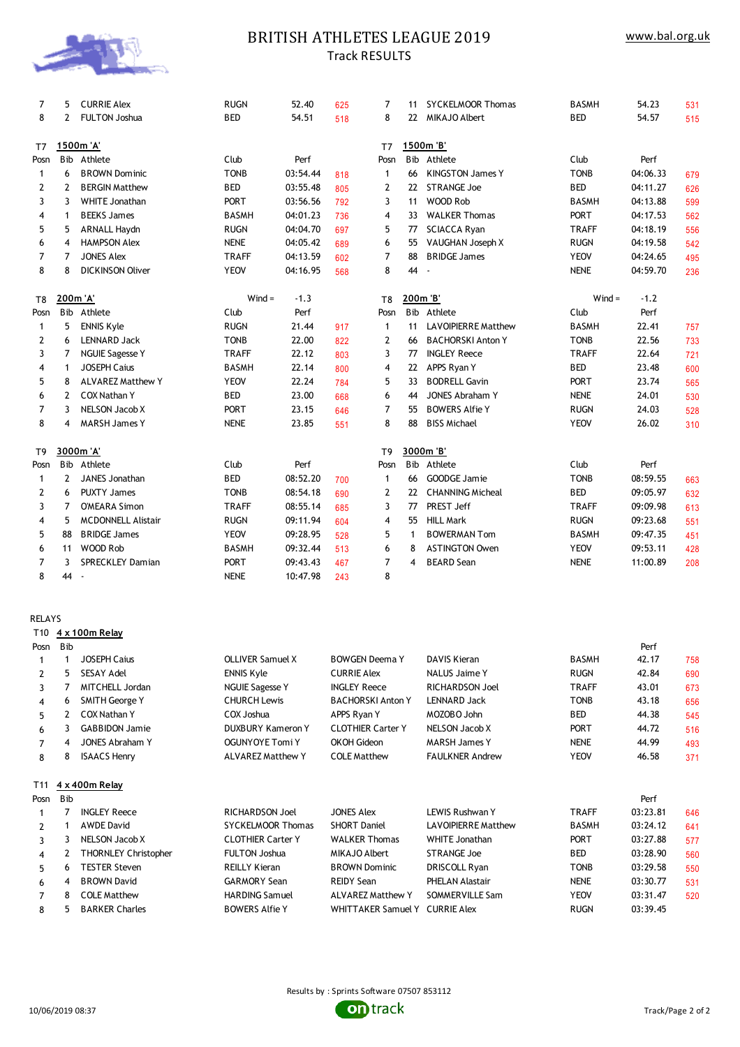

# BRITISH ATHLETES LEAGUE 2019 Track RESULTS

| 7              | 5              | <b>CURRIE Alex</b>        | <b>RUGN</b>  | 52.40    | 625 | 7                       | 11       | <b>SYCKELMOOR Thomas</b>   | <b>BASMH</b> | 54.23    | 531 |
|----------------|----------------|---------------------------|--------------|----------|-----|-------------------------|----------|----------------------------|--------------|----------|-----|
| 8              | 2              | <b>FULTON Joshua</b>      | <b>BED</b>   | 54.51    | 518 | 8                       | 22       | <b>MIKAJO Albert</b>       | <b>BED</b>   | 54.57    | 515 |
| T7             |                | 1500m 'A'                 |              |          |     | T7                      |          | 1500m 'B'                  |              |          |     |
| Posn           |                | Bib Athlete               | Club         | Perf     |     | Posn                    |          | Bib Athlete                | Club         | Perf     |     |
| $\mathbf{1}$   | 6              | <b>BROWN Dominic</b>      | <b>TONB</b>  | 03:54.44 | 818 | $\mathbf{1}$            | 66       | <b>KINGSTON James Y</b>    | <b>TONB</b>  | 04:06.33 | 679 |
| 2              | 2              | <b>BERGIN Matthew</b>     | <b>BED</b>   | 03:55.48 | 805 | 2                       | 22       | <b>STRANGE Joe</b>         | <b>BED</b>   | 04:11.27 | 626 |
| 3              | 3              | WHITE Jonathan            | <b>PORT</b>  | 03:56.56 | 792 | 3                       | 11       | WOOD Rob                   | <b>BASMH</b> | 04:13.88 | 599 |
| 4              | $\mathbf{1}$   | <b>BEEKS James</b>        | <b>BASMH</b> | 04:01.23 | 736 | $\overline{4}$          | 33       | <b>WALKER Thomas</b>       | <b>PORT</b>  | 04:17.53 | 562 |
| 5              | 5              | <b>ARNALL Haydn</b>       | <b>RUGN</b>  | 04:04.70 | 697 | 5                       | 77       | <b>SCIACCA Ryan</b>        | <b>TRAFF</b> | 04:18.19 | 556 |
| 6              | 4              | <b>HAMPSON Alex</b>       | <b>NENE</b>  | 04:05.42 | 689 | 6                       | 55       | VAUGHAN Joseph X           | <b>RUGN</b>  | 04:19.58 | 542 |
| 7              | 7              | <b>JONES Alex</b>         | <b>TRAFF</b> | 04:13.59 | 602 | $\overline{7}$          | 88       | <b>BRIDGE James</b>        | <b>YEOV</b>  | 04:24.65 | 495 |
| 8              | 8              | <b>DICKINSON Oliver</b>   | <b>YEOV</b>  | 04:16.95 | 568 | 8                       | 44       | $\sim$                     | <b>NENE</b>  | 04:59.70 | 236 |
| T8             | 200m 'A'       |                           | $Wind =$     | $-1.3$   |     | T <sub>8</sub>          | 200m 'B' |                            | $Wind =$     | $-1.2$   |     |
| Posn           |                | Bib Athlete               | Club         | Perf     |     | Posn                    |          | Bib Athlete                | Club         | Perf     |     |
| $\mathbf{1}$   | 5              | <b>ENNIS Kyle</b>         | <b>RUGN</b>  | 21.44    | 917 | $\mathbf{1}$            | 11       | <b>LAVOIPIERRE Matthew</b> | <b>BASMH</b> | 22.41    | 757 |
| 2              | 6              | <b>LENNARD Jack</b>       | <b>TONB</b>  | 22.00    | 822 | 2                       | 66       | <b>BACHORSKI Anton Y</b>   | <b>TONB</b>  | 22.56    | 733 |
| 3              | 7              | <b>NGUIE Sagesse Y</b>    | <b>TRAFF</b> | 22.12    | 803 | 3                       | 77       | <b>INGLEY Reece</b>        | <b>TRAFF</b> | 22.64    | 721 |
| 4              | $\mathbf{1}$   | <b>JOSEPH Caius</b>       | <b>BASMH</b> | 22.14    | 800 | $\overline{4}$          | 22       | APPS Ryan Y                | <b>BED</b>   | 23.48    | 600 |
| 5              | 8              | <b>ALVAREZ Matthew Y</b>  | <b>YEOV</b>  | 22.24    | 784 | 5                       | 33       | <b>BODRELL Gavin</b>       | PORT         | 23.74    | 565 |
| 6              | $\mathbf{2}$   | <b>COX Nathan Y</b>       | <b>BED</b>   | 23.00    | 668 | 6                       | 44       | <b>JONES Abraham Y</b>     | <b>NENE</b>  | 24.01    | 530 |
| $\overline{7}$ | 3              | <b>NELSON Jacob X</b>     | <b>PORT</b>  | 23.15    | 646 | $\overline{7}$          | 55       | <b>BOWERS Alfie Y</b>      | <b>RUGN</b>  | 24.03    | 528 |
| 8              | 4              | <b>MARSH James Y</b>      | <b>NENE</b>  | 23.85    | 551 | 8                       | 88       | <b>BISS Michael</b>        | <b>YEOV</b>  | 26.02    | 310 |
| T9             |                | 3000m 'A'                 |              |          |     | T <sub>9</sub>          |          | 3000m 'B'                  |              |          |     |
| Posn           |                | Bib Athlete               | Club         | Perf     |     | Posn                    |          | Bib Athlete                | Club         | Perf     |     |
| $\mathbf{1}$   | $\mathbf{2}$   | JANES Jonathan            | <b>BED</b>   | 08:52.20 | 700 | $\mathbf{1}$            | 66       | <b>GOODGE Jamie</b>        | <b>TONB</b>  | 08:59.55 | 663 |
| 2              | 6              | <b>PUXTY James</b>        | <b>TONB</b>  | 08:54.18 | 690 | 2                       | 22       | <b>CHANNING Micheal</b>    | <b>BED</b>   | 09:05.97 | 632 |
| 3              | $\overline{7}$ | <b>O'MEARA Simon</b>      | <b>TRAFF</b> | 08:55.14 | 685 | 3                       | 77       | PREST Jeff                 | <b>TRAFF</b> | 09:09.98 | 613 |
| 4              | 5              | <b>MCDONNELL Alistair</b> | <b>RUGN</b>  | 09:11.94 | 604 | $\overline{\mathbf{4}}$ | 55       | <b>HILL Mark</b>           | <b>RUGN</b>  | 09:23.68 | 551 |
| 5              | 88             | <b>BRIDGE James</b>       | <b>YEOV</b>  | 09:28.95 | 528 | 5                       | 1        | <b>BOWERMAN Tom</b>        | <b>BASMH</b> | 09:47.35 | 451 |
| 6              | 11             | WOOD Rob                  | <b>BASMH</b> | 09:32.44 | 513 | 6                       | 8        | <b>ASTINGTON Owen</b>      | <b>YEOV</b>  | 09:53.11 | 428 |
| $\overline{7}$ | 3              | <b>SPRECKLEY Damian</b>   | <b>PORT</b>  | 09:43.43 | 467 | $\overline{7}$          | 4        | <b>BEARD</b> Sean          | <b>NENE</b>  | 11:00.89 | 208 |
| 8              | 44 -           |                           | <b>NENE</b>  | 10:47.98 | 243 | 8                       |          |                            |              |          |     |
|                |                |                           |              |          |     |                         |          |                            |              |          |     |

RELAYS

T10 **4 x 100m Relay**

| Posn            | <b>B</b> ib |                             |                          |                          |                            |              | Perf     |     |
|-----------------|-------------|-----------------------------|--------------------------|--------------------------|----------------------------|--------------|----------|-----|
|                 |             | <b>JOSEPH Caius</b>         | OLLIVER Samuel X         | <b>BOWGEN Deema Y</b>    | DAVIS Kieran               | <b>BASMH</b> | 42.17    | 758 |
| 2               | 5.          | <b>SESAY Adel</b>           | <b>ENNIS Kyle</b>        | <b>CURRIE Alex</b>       | <b>NALUS Jaime Y</b>       | <b>RUGN</b>  | 42.84    | 690 |
| 3               |             | MITCHELL Jordan             | <b>NGUIE Sagesse Y</b>   | <b>INGLEY Reece</b>      | <b>RICHARDSON Joel</b>     | <b>TRAFF</b> | 43.01    | 673 |
| 4               | 6           | <b>SMITH George Y</b>       | <b>CHURCH Lewis</b>      | <b>BACHORSKI Anton Y</b> | <b>LENNARD Jack</b>        | <b>TONB</b>  | 43.18    | 656 |
| 5               | 2           | <b>COX Nathan Y</b>         | COX Joshua               | APPS Ryan Y              | MOZOBO John                | <b>BED</b>   | 44.38    | 545 |
| 6               | 3.          | <b>GABBIDON Jamie</b>       | DUXBURY Kameron Y        | <b>CLOTHIER Carter Y</b> | NELSON Jacob X             | <b>PORT</b>  | 44.72    | 516 |
| 7               | 4           | <b>JONES Abraham Y</b>      | OGUNYOYE Tomi Y          | <b>OKOH Gideon</b>       | <b>MARSH James Y</b>       | <b>NENE</b>  | 44.99    | 493 |
| 8               | 8           | <b>ISAACS Henry</b>         | <b>ALVAREZ Matthew Y</b> | <b>COLE Matthew</b>      | <b>FAULKNER Andrew</b>     | <b>YEOV</b>  | 46.58    | 371 |
| T <sub>11</sub> |             | 4 x 400m Relay              |                          |                          |                            |              |          |     |
| Posn            | <b>B</b> ib |                             |                          |                          |                            |              | Perf     |     |
|                 |             | <b>INGLEY Reece</b>         | <b>RICHARDSON Joel</b>   | <b>JONES Alex</b>        | <b>LEWIS Rushwan Y</b>     | <b>TRAFF</b> | 03:23.81 | 646 |
| $\mathcal{P}$   |             | <b>AWDE David</b>           | <b>SYCKELMOOR Thomas</b> | <b>SHORT Daniel</b>      | <b>LAVOIPIERRE Matthew</b> | <b>BASMH</b> | 03:24.12 | 641 |
| 3               | 3           | NELSON Jacob X              | <b>CLOTHIER Carter Y</b> | <b>WALKER Thomas</b>     | <b>WHITE Jonathan</b>      | <b>PORT</b>  | 03:27.88 | 577 |
| 4               | 2           | <b>THORNLEY Christopher</b> | <b>FULTON Joshua</b>     | MIKAJO Albert            | <b>STRANGE Joe</b>         | <b>BED</b>   | 03:28.90 | 560 |
| 5               | 6           | <b>TESTER Steven</b>        | <b>REILLY Kieran</b>     | <b>BROWN Dominic</b>     | DRISCOLL Ryan              | <b>TONB</b>  | 03:29.58 | 550 |
|                 | 4           | <b>BROWN David</b>          | <b>GARMORY Sean</b>      | <b>REIDY Sean</b>        | PHELAN Alastair            | <b>NENE</b>  | 03:30.77 | 531 |
| 6               |             |                             |                          |                          |                            |              |          |     |
| 7               | 8           | <b>COLE Matthew</b>         | <b>HARDING Samuel</b>    | <b>ALVAREZ Matthew Y</b> | SOMMERVILLE Sam            | <b>YEOV</b>  | 03:31.47 | 520 |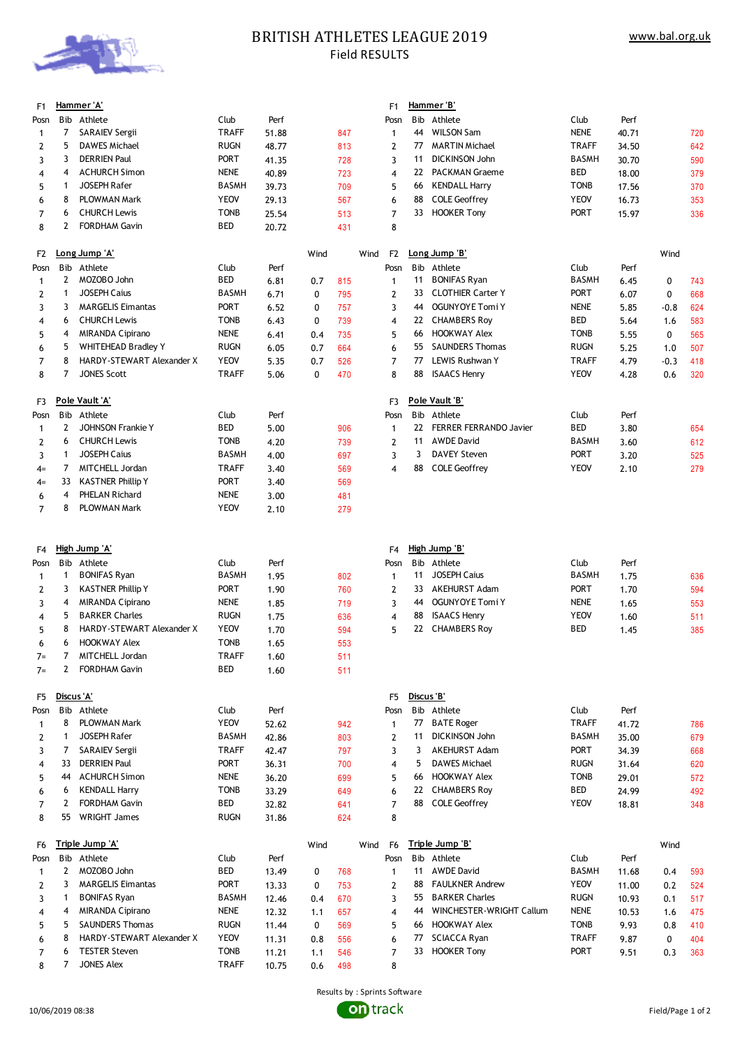

## **BRITISH ATHLETES LEAGUE 2019** Field RESULTS

|                      |                |                                                |                            |                |              |            |                         |            | Hammer 'B'                                 |                      |                |               |            |
|----------------------|----------------|------------------------------------------------|----------------------------|----------------|--------------|------------|-------------------------|------------|--------------------------------------------|----------------------|----------------|---------------|------------|
| F1                   |                | Hammer 'A'<br>Bib Athlete                      | Club                       | Perf           |              |            | F <sub>1</sub><br>Posn  |            | Bib Athlete                                | Club                 | Perf           |               |            |
| Posn<br>$\mathbf{1}$ | 7              | <b>SARAIEV Sergii</b>                          | <b>TRAFF</b>               | 51.88          |              | 847        | $\mathbf{1}$            | 44         | <b>WILSON Sam</b>                          | <b>NENE</b>          | 40.71          |               | 720        |
| $\overline{2}$       | 5              | <b>DAWES Michael</b>                           | <b>RUGN</b>                | 48.77          |              | 813        | 2                       | 77         | <b>MARTIN Michael</b>                      | TRAFF                | 34.50          |               | 642        |
| 3                    | 3              | <b>DERRIEN Paul</b>                            | <b>PORT</b>                | 41.35          |              | 728        | 3                       | 11         | <b>DICKINSON John</b>                      | BASMH                | 30.70          |               | 590        |
| 4                    | 4              | <b>ACHURCH Simon</b>                           | <b>NENE</b>                | 40.89          |              | 723        | 4                       | 22         | <b>PACKMAN Graeme</b>                      | BED                  | 18.00          |               | 379        |
| 5                    | 1              | <b>JOSEPH Rafer</b>                            | <b>BASMH</b>               | 39.73          |              | 709        | 5                       | 66         | <b>KENDALL Harry</b>                       | <b>TONB</b>          | 17.56          |               | 370        |
| 6                    | 8              | PLOWMAN Mark                                   | <b>YEOV</b>                | 29.13          |              | 567        | 6                       | 88         | <b>COLE Geoffrey</b>                       | <b>YEOV</b>          | 16.73          |               | 353        |
| 7                    | 6              | <b>CHURCH Lewis</b>                            | <b>TONB</b>                | 25.54          |              | 513        | 7                       | 33         | <b>HOOKER Tony</b>                         | <b>PORT</b>          | 15.97          |               | 336        |
| 8                    | 2              | <b>FORDHAM Gavin</b>                           | BED                        | 20.72          |              | 431        | 8                       |            |                                            |                      |                |               |            |
|                      |                |                                                |                            |                |              |            |                         |            |                                            |                      |                |               |            |
| F2                   |                | Long Jump 'A'                                  |                            |                | Wind         |            | F2<br>Wind              |            | Long Jump 'B'                              |                      |                | Wind          |            |
| Posn                 |                | Bib Athlete                                    | Club                       | Perf           |              |            | Posn                    |            | Bib Athlete                                | Club                 | Perf           |               |            |
| $\mathbf{1}$         | 2              | MOZOBO John                                    | BED                        | 6.81           | 0.7          | 815        | $\mathbf{1}$            | 11         | <b>BONIFAS Ryan</b>                        | <b>BASMH</b>         | 6.45           | 0             | 743        |
| 2                    | 1              | <b>JOSEPH Caius</b>                            | <b>BASMH</b>               | 6.71           | $\mathbf{0}$ | 795        | 2                       | 33         | <b>CLOTHIER Carter Y</b>                   | PORT                 | 6.07           | $\mathbf 0$   | 668        |
| 3                    | 3              | <b>MARGELIS Eimantas</b>                       | <b>PORT</b>                | 6.52           | 0            | 757        | 3                       | 44         | OGUNYOYE Tomi Y                            | <b>NENE</b>          | 5.85           | $-0.8$        | 624        |
| 4                    | 6              | <b>CHURCH Lewis</b><br><b>MIRANDA Cipirano</b> | <b>TONB</b><br><b>NENE</b> | 6.43           | 0            | 739        | $\overline{\mathbf{4}}$ | 22         | <b>CHAMBERS Roy</b><br><b>HOOKWAY Alex</b> | BED<br><b>TONB</b>   | 5.64           | 1.6           | 583        |
| 5                    | 4<br>5         | <b>WHITEHEAD Bradley Y</b>                     | <b>RUGN</b>                | 6.41           | 0.4          | 735        | 5                       | 66<br>55   | <b>SAUNDERS Thomas</b>                     | <b>RUGN</b>          | 5.55           | 0             | 565        |
| 6                    | 8              | HARDY-STEWART Alexander X                      | <b>YEOV</b>                | 6.05           | 0.7          | 664        | 6                       | 77         | LEWIS Rushwan Y                            | <b>TRAFF</b>         | 5.25           | 1.0           | 507        |
| 7<br>8               | 7              | <b>JONES Scott</b>                             | <b>TRAFF</b>               | 5.35<br>5.06   | 0.7<br>0     | 526<br>470 | 7<br>8                  | 88         | <b>ISAACS Henry</b>                        | <b>YEOV</b>          | 4.79<br>4.28   | $-0.3$<br>0.6 | 418<br>320 |
|                      |                |                                                |                            |                |              |            |                         |            |                                            |                      |                |               |            |
| F3                   |                | <u>Pole Vault 'A'</u>                          |                            |                |              |            | F3                      |            | Pole Vault 'B'                             |                      |                |               |            |
| Posn                 |                | Bib Athlete                                    | Club                       | Perf           |              |            | Posn                    |            | Bib Athlete                                | Club                 | Perf           |               |            |
| 1                    | 2              | <b>JOHNSON Frankie Y</b>                       | BED                        | 5.00           |              | 906        | $\mathbf{1}$            | 22         | <b>FERRER FERRANDO Javier</b>              | BED                  | 3.80           |               | 654        |
| 2                    | 6              | <b>CHURCH Lewis</b>                            | <b>TONB</b>                | 4.20           |              | 739        | 2                       | 11         | <b>AWDE David</b>                          | <b>BASMH</b>         | 3.60           |               | 612        |
| 3                    | 1              | <b>JOSEPH Caius</b>                            | <b>BASMH</b>               | 4.00           |              | 697        | 3                       | 3          | <b>DAVEY Steven</b>                        | <b>PORT</b>          | 3.20           |               | 525        |
| $4=$                 | 7              | MITCHELL Jordan                                | <b>TRAFF</b>               | 3.40           |              | 569        | 4                       | 88         | <b>COLE Geoffrey</b>                       | <b>YEOV</b>          | 2.10           |               | 279        |
| $4=$                 | 33             | <b>KASTNER Phillip Y</b>                       | <b>PORT</b>                | 3.40           |              | 569        |                         |            |                                            |                      |                |               |            |
| 6                    | 4              | PHELAN Richard                                 | <b>NENE</b>                | 3.00           |              | 481        |                         |            |                                            |                      |                |               |            |
| 7                    | 8              | PLOWMAN Mark                                   | <b>YEOV</b>                | 2.10           |              | 279        |                         |            |                                            |                      |                |               |            |
|                      |                |                                                |                            |                |              |            |                         |            |                                            |                      |                |               |            |
|                      |                |                                                |                            |                |              |            |                         |            |                                            |                      |                |               |            |
| F4                   |                | High Jump 'A'                                  |                            |                |              |            | F <sub>4</sub>          |            | High Jump 'B'                              |                      |                |               |            |
| Posn                 |                | Bib Athlete                                    | Club                       | Perf           |              |            | Posn                    |            | Bib Athlete                                | Club                 | Perf           |               |            |
| 1                    | 1              | <b>BONIFAS Ryan</b>                            | <b>BASMH</b>               | 1.95           |              | 802        | $\mathbf{1}$            | 11         | <b>JOSEPH Caius</b>                        | <b>BASMH</b>         | 1.75           |               | 636        |
| 2                    | 3              | <b>KASTNER Phillip Y</b>                       | <b>PORT</b>                | 1.90           |              | 760        | 2                       | 33         | AKEHURST Adam                              | <b>PORT</b>          | 1.70           |               | 594        |
| 3                    | 4              | <b>MIRANDA Cipirano</b>                        | <b>NENE</b>                | 1.85           |              | 719        | 3                       | 44         | <b>OGUNYOYE Tomi Y</b>                     | NENE                 | 1.65           |               | 553        |
| 4                    | 5              | <b>BARKER Charles</b>                          | <b>RUGN</b>                | 1.75           |              | 636        | 4                       | 88         | <b>ISAACS Henry</b>                        | YEOV                 | 1.60           |               | 511        |
| 5                    | 8              | HARDY-STEWART Alexander X                      | <b>YEOV</b>                | 1.70           |              | 594        | 5                       | 22         | <b>CHAMBERS Roy</b>                        | <b>BED</b>           | 1.45           |               | 385        |
| 6                    | 6              | <b>HOOKWAY Alex</b>                            | <b>TONB</b>                | 1.65           |              | 553        |                         |            |                                            |                      |                |               |            |
| $7=$                 | 7              | MITCHELL Jordan                                | <b>TRAFF</b>               | 1.60           |              | 511        |                         |            |                                            |                      |                |               |            |
| $7=$                 | $\overline{2}$ | <b>FORDHAM Gavin</b>                           | BED                        | 1.60           |              | 511        |                         |            |                                            |                      |                |               |            |
| F5                   | Discus 'A'     |                                                |                            |                |              |            | F <sub>5</sub>          | Discus 'B' |                                            |                      |                |               |            |
| Posn                 |                | Bib Athlete                                    | Club                       |                |              |            | Posn                    |            | Bib Athlete                                | Club                 | Perf           |               |            |
| 1                    | 8              | PLOWMAN Mark                                   | <b>YEOV</b>                | Perf<br>52.62  |              | 942        | 1                       | 77         | <b>BATE Roger</b>                          | <b>TRAFF</b>         | 41.72          |               | 786        |
| 2                    | 1              | JOSEPH Rafer                                   | <b>BASMH</b>               | 42.86          |              | 803        | 2                       | 11         | <b>DICKINSON John</b>                      | BASMH                | 35.00          |               | 679        |
| 3                    | 7              | <b>SARAIEV Sergii</b>                          | <b>TRAFF</b>               | 42.47          |              | 797        | 3                       | 3          | <b>AKEHURST Adam</b>                       | <b>PORT</b>          | 34.39          |               | 668        |
| 4                    | 33             | <b>DERRIEN Paul</b>                            | PORT                       | 36.31          |              | 700        | 4                       | 5          | <b>DAWES Michael</b>                       | <b>RUGN</b>          | 31.64          |               | 620        |
| 5                    | 44             | <b>ACHURCH Simon</b>                           | <b>NENE</b>                | 36.20          |              | 699        | 5                       | 66         | HOOKWAY Alex                               | TONB                 | 29.01          |               | 572        |
| 6                    | 6              | <b>KENDALL Harry</b>                           | <b>TONB</b>                | 33.29          |              | 649        | 6                       | 22         | <b>CHAMBERS Roy</b>                        | BED                  | 24.99          |               | 492        |
| $\overline{7}$       | 2              | <b>FORDHAM Gavin</b>                           | BED                        | 32.82          |              | 641        | $\overline{7}$          | 88         | <b>COLE Geoffrey</b>                       | <b>YEOV</b>          | 18.81          |               | 348        |
| 8                    | 55             | <b>WRIGHT James</b>                            | <b>RUGN</b>                | 31.86          |              | 624        | 8                       |            |                                            |                      |                |               |            |
|                      |                |                                                |                            |                |              |            |                         |            |                                            |                      |                |               |            |
| F6                   |                | Triple Jump 'A'                                |                            |                | Wind         |            | F <sub>6</sub><br>Wind  |            | Triple Jump 'B'                            |                      |                | Wind          |            |
| Posn                 | 2              | Bib Athlete<br>MOZOBO John                     | Club<br>BED                | Perf           |              |            | Posn                    | 11         | Bib Athlete<br><b>AWDE David</b>           | Club<br><b>BASMH</b> | Perf           |               |            |
| $\mathbf{1}$<br>2    | 3              | <b>MARGELIS Eimantas</b>                       | <b>PORT</b>                | 13.49          | 0            | 768        | $\mathbf{1}$            | 88         | <b>FAULKNER Andrew</b>                     | <b>YEOV</b>          | 11.68          | 0.4           | 593        |
| 3                    | 1              | <b>BONIFAS Ryan</b>                            | <b>BASMH</b>               | 13.33          | 0<br>0.4     | 753<br>670 | 2<br>3                  | 55         | <b>BARKER Charles</b>                      | <b>RUGN</b>          | 11.00<br>10.93 | 0.2<br>0.1    | 524        |
| 4                    | 4              | MIRANDA Cipirano                               | <b>NENE</b>                | 12.46          | 1.1          | 657        | 4                       | 44         | WINCHESTER-WRIGHT Callum                   | NENE                 | 10.53          | 1.6           | 517        |
| 5                    | 5              | <b>SAUNDERS Thomas</b>                         | <b>RUGN</b>                | 12.32<br>11.44 | 0            | 569        | 5                       | 66         | <b>HOOKWAY Alex</b>                        | <b>TONB</b>          | 9.93           | 0.8           | 475<br>410 |
| 6                    | 8              | HARDY-STEWART Alexander X                      | <b>YEOV</b>                | 11.31          | 0.8          | 556        | 6                       | 77         | <b>SCIACCA Ryan</b>                        | TRAFF                | 9.87           | $\mathbf 0$   | 404        |
| 7                    | 6              | <b>TESTER Steven</b>                           | <b>TONB</b>                | 11.21          | 1.1          | 546        | 7                       | 33         | <b>HOOKER Tony</b>                         | <b>PORT</b>          | 9.51           | 0.3           | 363        |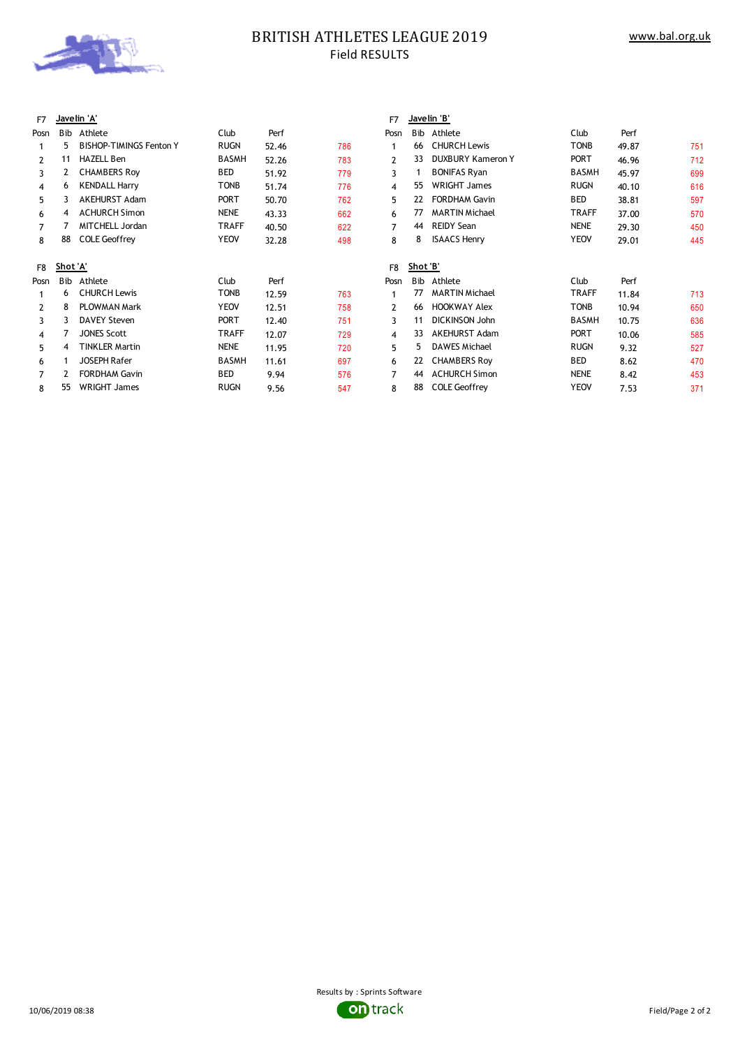

# **BRITISH ATHLETES LEAGUE 2019** Field RESULTS

| F7             |          | Javelin 'A'                    |              |       |     | Javelin 'B'<br>F7 |     |                          |              |       |     |  |  |
|----------------|----------|--------------------------------|--------------|-------|-----|-------------------|-----|--------------------------|--------------|-------|-----|--|--|
| Posn           | Bib      | Athlete                        | Club         | Perf  |     | Posn              | Bib | Athlete                  | Club         | Perf  |     |  |  |
|                | 5.       | <b>BISHOP-TIMINGS Fenton Y</b> | <b>RUGN</b>  | 52.46 | 786 |                   | 66  | <b>CHURCH Lewis</b>      | <b>TONB</b>  | 49.87 | 751 |  |  |
| $\overline{2}$ | 11       | <b>HAZELL Ben</b>              | BASMH        | 52.26 | 783 | 2                 | 33  | <b>DUXBURY Kameron Y</b> | <b>PORT</b>  | 46.96 | 712 |  |  |
| 3              | 2        | <b>CHAMBERS Roy</b>            | BED          | 51.92 | 779 | 3                 |     | <b>BONIFAS Ryan</b>      | BASMH        | 45.97 | 699 |  |  |
| 4              | 6        | <b>KENDALL Harry</b>           | <b>TONB</b>  | 51.74 | 776 | 4                 | 55  | <b>WRIGHT James</b>      | <b>RUGN</b>  | 40.10 | 616 |  |  |
| 5              | 3        | <b>AKEHURST Adam</b>           | <b>PORT</b>  | 50.70 | 762 | 5                 | 22  | <b>FORDHAM Gavin</b>     | <b>BED</b>   | 38.81 | 597 |  |  |
| 6              | 4        | <b>ACHURCH Simon</b>           | <b>NENE</b>  | 43.33 | 662 | 6                 | 77  | <b>MARTIN Michael</b>    | <b>TRAFF</b> | 37.00 | 570 |  |  |
| 7              |          | MITCHELL Jordan                | <b>TRAFF</b> | 40.50 | 622 | 7                 | 44  | <b>REIDY Sean</b>        | <b>NENE</b>  | 29.30 | 450 |  |  |
| 8              | 88       | <b>COLE Geoffrey</b>           | <b>YEOV</b>  | 32.28 | 498 | 8                 | 8   | <b>ISAACS Henry</b>      | <b>YEOV</b>  | 29.01 | 445 |  |  |
| F8             | Shot 'A' |                                |              |       |     | Shot 'B'<br>F8    |     |                          |              |       |     |  |  |
| Posn           | Bib      | Athlete                        | Club         | Perf  |     | Posn              | Bib | Athlete                  | Club         | Perf  |     |  |  |
|                | 6        | <b>CHURCH Lewis</b>            | <b>TONB</b>  | 12.59 | 763 |                   | 77  | <b>MARTIN Michael</b>    | <b>TRAFF</b> | 11.84 | 713 |  |  |
| 2              | 8        | PLOWMAN Mark                   | <b>YEOV</b>  | 12.51 | 758 | 2                 | 66  | <b>HOOKWAY Alex</b>      | <b>TONB</b>  | 10.94 | 650 |  |  |
| 3              |          | <b>DAVEY Steven</b>            | <b>PORT</b>  | 12.40 | 751 | 3                 | 11  | <b>DICKINSON John</b>    | <b>BASMH</b> | 10.75 | 636 |  |  |
| 4              |          | <b>JONES Scott</b>             | <b>TRAFF</b> | 12.07 | 729 | 4                 | 33  | AKEHURST Adam            | <b>PORT</b>  | 10.06 | 585 |  |  |
| 5              | 4        | <b>TINKLER Martin</b>          | <b>NENE</b>  | 11.95 | 720 | 5                 | 5.  | <b>DAWES Michael</b>     | <b>RUGN</b>  | 9.32  | 527 |  |  |
| 6              |          | <b>JOSEPH Rafer</b>            | BASMH        | 11.61 | 697 | 6                 | 22  | <b>CHAMBERS Roy</b>      | BED          | 8.62  | 470 |  |  |
| 7              |          | <b>FORDHAM Gavin</b>           | BED          | 9.94  | 576 | 7                 | 44  | <b>ACHURCH Simon</b>     | <b>NENE</b>  | 8.42  | 453 |  |  |
| 8              | 55       | <b>WRIGHT James</b>            | <b>RUGN</b>  | 9.56  | 547 | 8                 | 88  | <b>COLE Geoffrey</b>     | <b>YEOV</b>  | 7.53  | 371 |  |  |

| Posn         | Bib             | Athlete                                             | Club         | Perf  |     |
|--------------|-----------------|-----------------------------------------------------|--------------|-------|-----|
| 1            | 66              | <b>CHURCH Lewis</b>                                 | <b>TONB</b>  | 49.87 | 751 |
| $\mathbf{2}$ | 33              | <b>DUXBURY Kameron Y</b>                            | <b>PORT</b>  | 46.96 | 712 |
| 3            | 1               | <b>BONIFAS Ryan</b>                                 | <b>BASMH</b> | 45.97 | 699 |
| 4            | 55              | <b>WRIGHT James</b>                                 | <b>RUGN</b>  | 40.10 | 616 |
| 5            | 22              | <b>FORDHAM Gavin</b>                                | <b>BED</b>   | 38.81 | 597 |
| 6            | 77              | <b>MARTIN Michael</b>                               | <b>TRAFF</b> | 37.00 | 570 |
| 7            | 44              | <b>REIDY Sean</b>                                   | <b>NENE</b>  | 29.30 | 450 |
| 8            | 8               | <b>ISAACS Henry</b>                                 | <b>YEOV</b>  | 29.01 | 445 |
| F8           | <u>Shot 'B'</u> |                                                     |              |       |     |
| osn?         | <b>B</b> ib     | Athlete                                             | Club         | Perf  |     |
| 1            | 77              | <b>MARTIN Michael</b>                               | <b>TRAFF</b> | 11.84 | 713 |
| $\mathbf{2}$ | 66              | <b>HOOKWAY Alex</b>                                 | <b>TONB</b>  | 10.94 | 650 |
| 3            | 11              | <b>DICKINSON John</b>                               | <b>BASMH</b> | 10.75 | 636 |
| 4            | 33              | <b>AKEHURST Adam</b>                                | <b>PORT</b>  | 10.06 | 585 |
| 5            | 5               | <b>DAWES Michael</b>                                | <b>RUGN</b>  | 9.32  | 527 |
| 6            | 22              | <b>CHAMBERS Roy</b>                                 | <b>BED</b>   | 8.62  | 470 |
| 7            | 44              | <b>ACHURCH Simon</b>                                | <b>NENE</b>  | 8.42  | 453 |
| $\circ$      | 99              | $C$ $\cap$ $E$ $C$ $\cap$ $C$ $C$ $\cap$ $C$ $\cap$ | <b>VEOV</b>  | 752   | 274 |